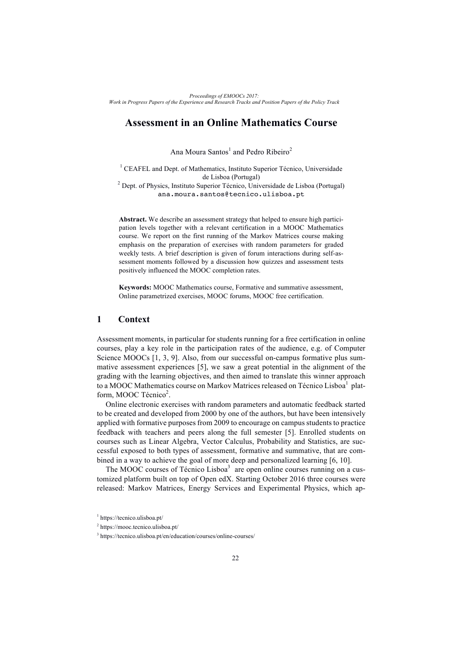# **Assessment in an Online Mathematics Course**

Ana Moura Santos<sup>1</sup> and Pedro Ribeiro<sup>2</sup>

<sup>1</sup> CEAFEL and Dept. of Mathematics, Instituto Superior Técnico, Universidade de Lisboa (Portugal)

 $2$  Dept. of Physics, Instituto Superior Técnico, Universidade de Lisboa (Portugal) ana.moura.santos@tecnico.ulisboa.pt

**Abstract.** We describe an assessment strategy that helped to ensure high participation levels together with a relevant certification in a MOOC Mathematics course. We report on the first running of the Markov Matrices course making emphasis on the preparation of exercises with random parameters for graded weekly tests. A brief description is given of forum interactions during self-assessment moments followed by a discussion how quizzes and assessment tests positively influenced the MOOC completion rates.

**Keywords:** MOOC Mathematics course, Formative and summative assessment, Online parametrized exercises, MOOC forums, MOOC free certification.

### **1 Context**

Assessment moments, in particular for students running for a free certification in online courses, play a key role in the participation rates of the audience, e.g. of Computer Science MOOCs [1, 3, 9]. Also, from our successful on-campus formative plus summative assessment experiences [5], we saw a great potential in the alignment of the grading with the learning objectives, and then aimed to translate this winner approach to a MOOC Mathematics course on Markov Matrices released on Técnico Lisboa<sup>1</sup> platform, MOOC Técnico<sup>2</sup>.

Online electronic exercises with random parameters and automatic feedback started to be created and developed from 2000 by one of the authors, but have been intensively applied with formative purposes from 2009 to encourage on campus students to practice feedback with teachers and peers along the full semester [5]. Enrolled students on courses such as Linear Algebra, Vector Calculus, Probability and Statistics, are successful exposed to both types of assessment, formative and summative, that are combined in a way to achieve the goal of more deep and personalized learning [6, 10].

The MOOC courses of Técnico Lisboa<sup>3</sup> are open online courses running on a customized platform built on top of Open edX. Starting October 2016 three courses were released: Markov Matrices, Energy Services and Experimental Physics, which ap-

<sup>1</sup> https://tecnico.ulisboa.pt/

<sup>2</sup> https://mooc.tecnico.ulisboa.pt/

<sup>3</sup> https://tecnico.ulisboa.pt/en/education/courses/online-courses/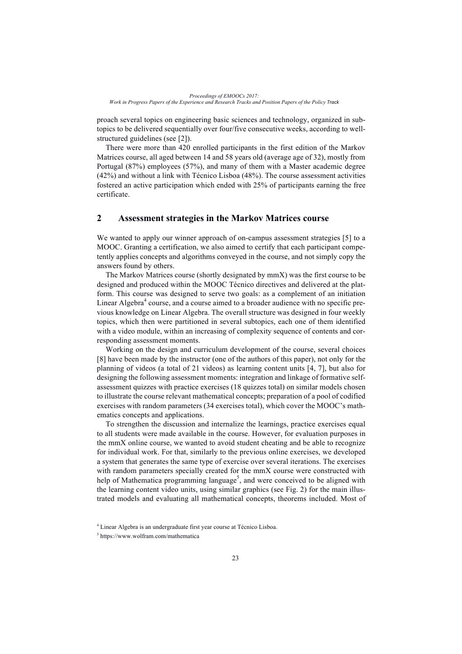proach several topics on engineering basic sciences and technology, organized in subtopics to be delivered sequentially over four/five consecutive weeks, according to wellstructured guidelines (see [2]).

There were more than 420 enrolled participants in the first edition of the Markov Matrices course, all aged between 14 and 58 years old (average age of 32), mostly from Portugal (87%) employees (57%), and many of them with a Master academic degree (42%) and without a link with Técnico Lisboa (48%). The course assessment activities fostered an active participation which ended with 25% of participants earning the free certificate.

### **2 Assessment strategies in the Markov Matrices course**

We wanted to apply our winner approach of on-campus assessment strategies [5] to a MOOC. Granting a certification, we also aimed to certify that each participant competently applies concepts and algorithms conveyed in the course, and not simply copy the answers found by others.

The Markov Matrices course (shortly designated by mmX) was the first course to be designed and produced within the MOOC Técnico directives and delivered at the platform. This course was designed to serve two goals: as a complement of an initiation Linear Algebra<sup>4</sup> course, and a course aimed to a broader audience with no specific previous knowledge on Linear Algebra. The overall structure was designed in four weekly topics, which then were partitioned in several subtopics, each one of them identified with a video module, within an increasing of complexity sequence of contents and corresponding assessment moments.

Working on the design and curriculum development of the course, several choices [8] have been made by the instructor (one of the authors of this paper), not only for the planning of videos (a total of 21 videos) as learning content units [4, 7], but also for designing the following assessment moments: integration and linkage of formative selfassessment quizzes with practice exercises (18 quizzes total) on similar models chosen to illustrate the course relevant mathematical concepts; preparation of a pool of codified exercises with random parameters (34 exercises total), which cover the MOOC's mathematics concepts and applications.

To strengthen the discussion and internalize the learnings, practice exercises equal to all students were made available in the course. However, for evaluation purposes in the mmX online course, we wanted to avoid student cheating and be able to recognize for individual work. For that, similarly to the previous online exercises, we developed a system that generates the same type of exercise over several iterations. The exercises with random parameters specially created for the mmX course were constructed with help of Mathematica programming language<sup>5</sup>, and were conceived to be aligned with the learning content video units, using similar graphics (see Fig. 2) for the main illustrated models and evaluating all mathematical concepts, theorems included. Most of

<sup>4</sup> Linear Algebra is an undergraduate first year course at Técnico Lisboa.

<sup>5</sup> https://www.wolfram.com/mathematica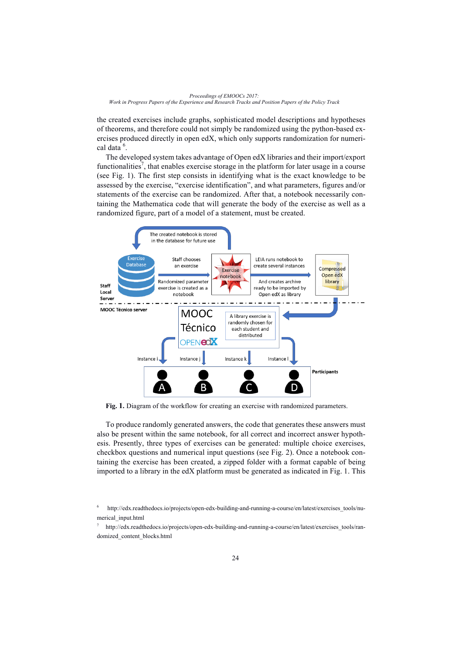

the created exercises include graphs, sophisticated model descriptions and hypotheses of theorems, and therefore could not simply be randomized using the python-based exercises produced directly in open edX, which only supports randomization for numerical data<sup>6</sup>.

The developed system takes advantage of Open edX libraries and their import/export functionalities<sup>7</sup>, that enables exercise storage in the platform for later usage in a course (see Fig. 1). The first step consists in identifying what is the exact knowledge to be assessed by the exercise, "exercise identification", and what parameters, figures and/or statements of the exercise can be randomized. After that, a notebook necessarily containing the Mathematica code that will generate the body of the exercise as well as a randomized figure, part of a model of a statement, must be created.



**Fig. 1.** Diagram of the workflow for creating an exercise with randomized parameters.

To produce randomly generated answers, the code that generates these answers must also be present within the same notebook, for all correct and incorrect answer hypothesis. Presently, three types of exercises can be generated: multiple choice exercises, checkbox questions and numerical input questions (see Fig. 2). Once a notebook containing the exercise has been created, a zipped folder with a format capable of being imported to a library in the edX platform must be generated as indicated in Fig. 1. This

http://edx.readthedocs.io/projects/open-edx-building-and-running-a-course/en/latest/exercises\_tools/numerical\_input.html

<sup>7</sup> http://edx.readthedocs.io/projects/open-edx-building-and-running-a-course/en/latest/exercises\_tools/randomized\_content\_blocks.html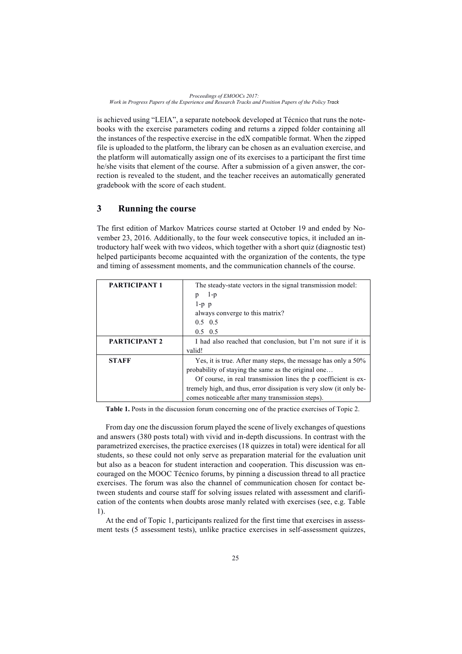*Proceedings of EMOOCs 2017: Work in Progress Papers of the Experience and Research Tracks and Position Papers of the Policy Track*

is achieved using "LEIA", a separate notebook developed at Técnico that runs the notebooks with the exercise parameters coding and returns a zipped folder containing all the instances of the respective exercise in the edX compatible format. When the zipped file is uploaded to the platform, the library can be chosen as an evaluation exercise, and the platform will automatically assign one of its exercises to a participant the first time he/she visits that element of the course. After a submission of a given answer, the correction is revealed to the student, and the teacher receives an automatically generated gradebook with the score of each student.

## **3 Running the course**

The first edition of Markov Matrices course started at October 19 and ended by November 23, 2016. Additionally, to the four week consecutive topics, it included an introductory half week with two videos, which together with a short quiz (diagnostic test) helped participants become acquainted with the organization of the contents, the type and timing of assessment moments, and the communication channels of the course.

| <b>PARTICIPANT 1</b> | The steady-state vectors in the signal transmission model:          |
|----------------------|---------------------------------------------------------------------|
|                      | $1-p$<br>p                                                          |
|                      | $1-p$ $p$                                                           |
|                      | always converge to this matrix?                                     |
|                      | $0.5 \quad 0.5$                                                     |
|                      | $0.5 \quad 0.5$                                                     |
| <b>PARTICIPANT 2</b> | I had also reached that conclusion, but I'm not sure if it is       |
|                      | valid!                                                              |
| <b>STAFF</b>         | Yes, it is true. After many steps, the message has only a 50%       |
|                      | probability of staying the same as the original one                 |
|                      | Of course, in real transmission lines the p coefficient is ex-      |
|                      | tremely high, and thus, error dissipation is very slow (it only be- |
|                      | comes noticeable after many transmission steps).                    |

**Table 1.** Posts in the discussion forum concerning one of the practice exercises of Topic 2.

From day one the discussion forum played the scene of lively exchanges of questions and answers (380 posts total) with vivid and in-depth discussions. In contrast with the parametrized exercises, the practice exercises (18 quizzes in total) were identical for all students, so these could not only serve as preparation material for the evaluation unit but also as a beacon for student interaction and cooperation. This discussion was encouraged on the MOOC Técnico forums, by pinning a discussion thread to all practice exercises. The forum was also the channel of communication chosen for contact between students and course staff for solving issues related with assessment and clarification of the contents when doubts arose manly related with exercises (see, e.g. Table 1).

At the end of Topic 1, participants realized for the first time that exercises in assessment tests (5 assessment tests), unlike practice exercises in self-assessment quizzes,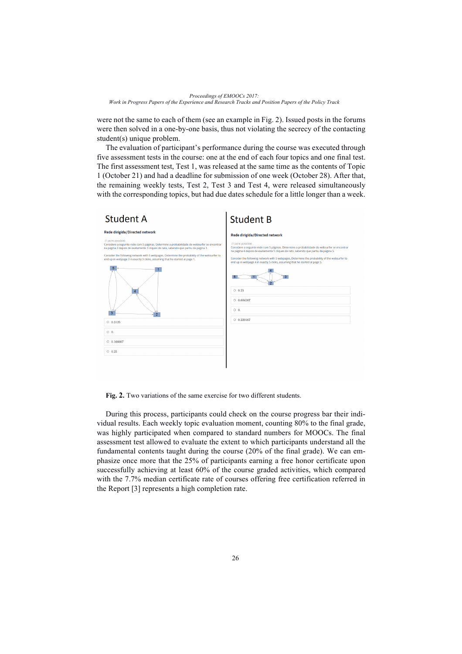were not the same to each of them (see an example in Fig. 2). Issued posts in the forums were then solved in a one-by-one basis, thus not violating the secrecy of the contacting student(s) unique problem.

The evaluation of participant's performance during the course was executed through five assessment tests in the course: one at the end of each four topics and one final test. The first assessment test, Test 1, was released at the same time as the contents of Topic 1 (October 21) and had a deadline for submission of one week (October 28). After that, the remaining weekly tests, Test 2, Test 3 and Test 4, were released simultaneously with the corresponding topics, but had due dates schedule for a little longer than a week.



**Fig. 2.** Two variations of the same exercise for two different students.

During this process, participants could check on the course progress bar their individual results. Each weekly topic evaluation moment, counting 80% to the final grade, was highly participated when compared to standard numbers for MOOCs. The final assessment test allowed to evaluate the extent to which participants understand all the fundamental contents taught during the course (20% of the final grade). We can emphasize once more that the 25% of participants earning a free honor certificate upon successfully achieving at least 60% of the course graded activities, which compared with the 7.7% median certificate rate of courses offering free certification referred in the Report [3] represents a high completion rate.